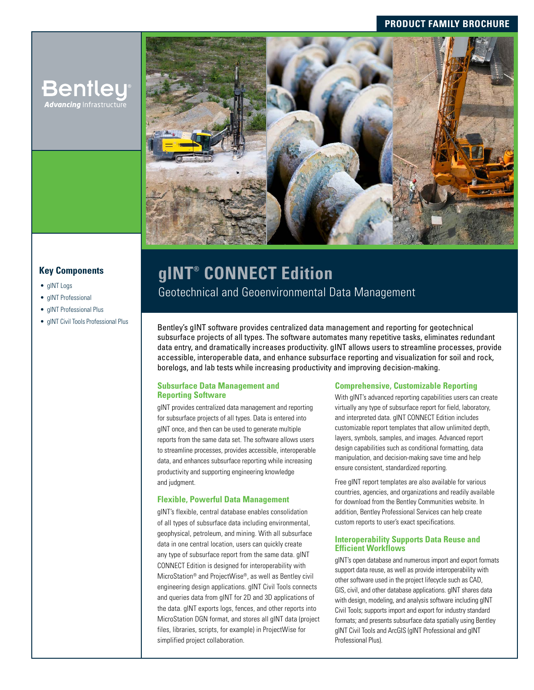# **PRODUCT FAMILY BROCHURE**



# **Key Components**

- gINT Logs
- gINT Professional
- gINT Professional Plus
- 

**Bentley Advancing** Infrastructur

# **gINT® CONNECT Edition**

Geotechnical and Geoenvironmental Data Management

• gINT Civil Tools Professional Plus **Bentley's gINT software provides centralized data management and reporting for geotechnical** subsurface projects of all types. The software automates many repetitive tasks, eliminates redundant data entry, and dramatically increases productivity. gINT allows users to streamline processes, provide accessible, interoperable data, and enhance subsurface reporting and visualization for soil and rock, borelogs, and lab tests while increasing productivity and improving decision-making.

#### **Subsurface Data Management and Reporting Software**

gINT provides centralized data management and reporting for subsurface projects of all types. Data is entered into gINT once, and then can be used to generate multiple reports from the same data set. The software allows users to streamline processes, provides accessible, interoperable data, and enhances subsurface reporting while increasing productivity and supporting engineering knowledge and judgment.

## **Flexible, Powerful Data Management**

gINT's flexible, central database enables consolidation of all types of subsurface data including environmental, geophysical, petroleum, and mining. With all subsurface data in one central location, users can quickly create any type of subsurface report from the same data. gINT CONNECT Edition is designed for interoperability with MicroStation® and ProjectWise®, as well as Bentley civil engineering design applications. gINT Civil Tools connects and queries data from gINT for 2D and 3D applications of the data. gINT exports logs, fences, and other reports into MicroStation DGN format, and stores all gINT data (project files, libraries, scripts, for example) in ProjectWise for simplified project collaboration.

#### **Comprehensive, Customizable Reporting**

With gINT's advanced reporting capabilities users can create virtually any type of subsurface report for field, laboratory, and interpreted data. gINT CONNECT Edition includes customizable report templates that allow unlimited depth, layers, symbols, samples, and images. Advanced report design capabilities such as conditional formatting, data manipulation, and decision-making save time and help ensure consistent, standardized reporting.

Free gINT report templates are also available for various countries, agencies, and organizations and readily available for download from the Bentley Communities website. In addition, Bentley Professional Services can help create custom reports to user's exact specifications.

#### **Interoperability Supports Data Reuse and Efficient Workflows**

gINT's open database and numerous import and export formats support data reuse, as well as provide interoperability with other software used in the project lifecycle such as CAD, GIS, civil, and other database applications. gINT shares data with design, modeling, and analysis software including gINT Civil Tools; supports import and export for industry standard formats; and presents subsurface data spatially using Bentley gINT Civil Tools and ArcGIS (gINT Professional and gINT Professional Plus).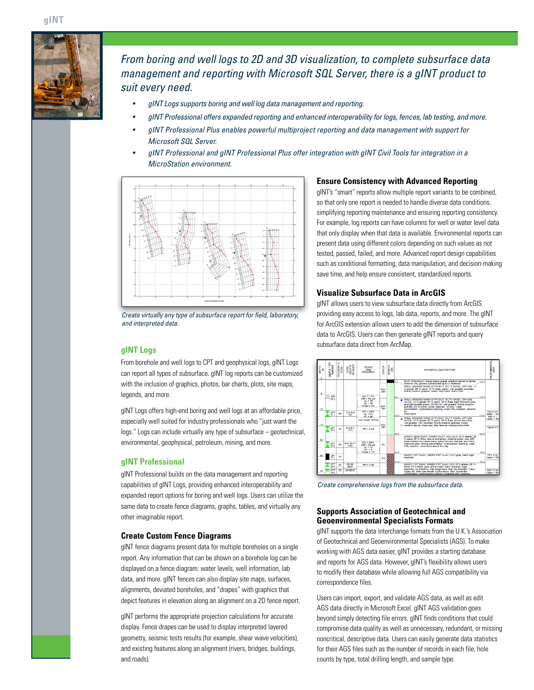

*From boring and well logs to 2D and 3D visualization, to complete subsurface data management and reporting with Microsoft SQL Server, there is a gINT product to suit every need.* 

- *• gINT Logs supports boring and well log data management and reporting.*
- *• gINT Professional offers expanded reporting and enhanced interoperability for logs, fences, lab testing, and more.*
- *• gINT Professional Plus enables powerful multiproject reporting and data management with support for Microsoft SQL Server.*
- *• gINT Professional and gINT Professional Plus offer integration with gINT Civil Tools for integration in a MicroStation environment.*



*Create virtually any type of subsurface report for field, laboratory, and interpreted data.*

#### **gINT Logs**

From borehole and well logs to CPT and geophysical logs, gINT Logs can report all types of subsurface. gINT log reports can be customized with the inclusion of graphics, photos, bar charts, plots, site maps, legends, and more.

gINT Logs offers high-end boring and well logs at an affordable price, especially well suited for industry professionals who "just want the logs." Logs can include virtually any type of subsurface – geotechnical, environmental, geophysical, petroleum, mining, and more.

#### **gINT Professional**

gINT Professional builds on the data management and reporting capabilities of gINT Logs, providing enhanced interoperability and expanded report options for boring and well logs. Users can utilize the same data to create fence diagrams, graphs, tables, and virtually any other imaginable report.

#### **Create Custom Fence Diagrams**

gINT fence diagrams present data for multiple boreholes on a single report. Any information that can be shown on a borehole log can be displayed on a fence diagram: water levels, well information, lab data, and more. gINT fences can also display site maps, surfaces, alignments, deviated boreholes, and "drapes" with graphics that depict features in elevation along an alignment on a 2D fence report.

gINT performs the appropriate projection calculations for accurate display. Fence drapes can be used to display interpreted layered geometry, seismic tests results (for example, shear wave velocities), and existing features along an alignment (rivers, bridges, buildings, and roads).

#### **Ensure Consistency with Advanced Reporting**

gINT's "smart" reports allow multiple report variants to be combined, so that only one report is needed to handle diverse data conditions, simplifying reporting maintenance and ensuring reporting consistency. For example, log reports can have columns for well or water level data that only display when that data is available. Environmental reports can present data using different colors depending on such values as not tested, passed, failed, and more. Advanced report design capabilities such as conditional formatting, data manipulation, and decision-making save time, and help ensure consistent, standardized reports.

#### **Visualize Subsurface Data in ArcGIS**

gINT allows users to view subsurface data directly from ArcGIS providing easy access to logs, lab data, reports, and more. The gINT for ArcGIS extension allows users to add the dimension of subsurface data to ArcGIS. Users can then generate gINT reports and query subsurface data direct from ArcMap.



*Create comprehensive logs from the subsurface data.*

#### **Supports Association of Geotechnical and Geoenvironmental Specialists Formats**

gINT supports the data interchange formats from the U.K.'s Association of Geotechnical and Geoenvironmental Specialists (AGS). To make working with AGS data easier, gINT provides a starting database and reports for AGS data. However, gINT's flexibility allows users to modify their database while allowing full AGS compatibility via correspondence files.

Users can import, export, and validate AGS data, as well as edit AGS data directly in Microsoft Excel. gINT AGS validation goes beyond simply detecting file errors. gINT finds conditions that could compromise data quality as well as unnecessary, redundant, or missing noncritical, descriptive data. Users can easily generate data statistics for their AGS files such as the number of records in each file, hole counts by type, total drilling length, and sample type.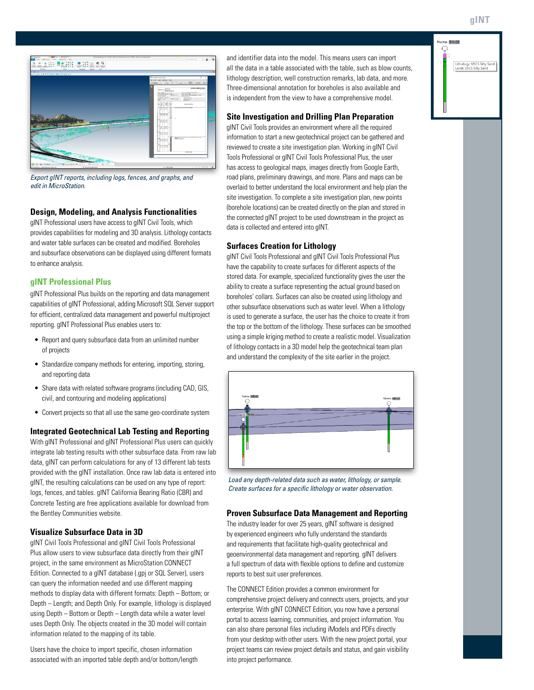**gINT**





*Export gINT reports, including logs, fences, and graphs, and edit in MicroStation.*

## **Design, Modeling, and Analysis Functionalities**

gINT Professional users have access to gINT Civil Tools, which provides capabilities for modeling and 3D analysis. Lithology contacts and water table surfaces can be created and modified. Boreholes and subsurface observations can be displayed using different formats to enhance analysis.

#### **gINT Professional Plus**

gINT Professional Plus builds on the reporting and data management capabilities of gINT Professional, adding Microsoft SQL Server support for efficient, centralized data management and powerful multiproject reporting. gINT Professional Plus enables users to:

- Report and query subsurface data from an unlimited number of projects
- Standardize company methods for entering, importing, storing, and reporting data
- Share data with related software programs (including CAD, GIS, civil, and contouring and modeling applications)
- Convert projects so that all use the same geo-coordinate system

#### **Integrated Geotechnical Lab Testing and Reporting**

With gINT Professional and gINT Professional Plus users can quickly integrate lab testing results with other subsurface data. From raw lab data, gINT can perform calculations for any of 13 different lab tests provided with the gINT installation. Once raw lab data is entered into gINT, the resulting calculations can be used on any type of report: logs, fences, and tables. gINT California Bearing Ratio (CBR) and Concrete Testing are free applications available for download from the Bentley Communities website.

## **Visualize Subsurface Data in 3D**

gINT Civil Tools Professional and gINT Civil Tools Professional Plus allow users to view subsurface data directly from their gINT project, in the same environment as MicroStation CONNECT Edition. Connected to a gINT database (.gpi or SQL Server), users can query the information needed and use different mapping methods to display data with different formats: Depth – Bottom; or Depth – Length; and Depth Only. For example, lithology is displayed using Depth – Bottom or Depth – Length data while a water level uses Depth Only. The objects created in the 3D model will contain information related to the mapping of its table.

Users have the choice to import specific, chosen information associated with an imported table depth and/or bottom/length and identifier data into the model. This means users can import all the data in a table associated with the table, such as blow counts, lithology description, well construction remarks, lab data, and more. Three-dimensional annotation for boreholes is also available and is independent from the view to have a comprehensive model.

## **Site Investigation and Drilling Plan Preparation**

gINT Civil Tools provides an environment where all the required information to start a new geotechnical project can be gathered and reviewed to create a site investigation plan. Working in gINT Civil Tools Professional or gINT Civil Tools Professional Plus, the user has access to geological maps, images directly from Google Earth, road plans, preliminary drawings, and more. Plans and maps can be overlaid to better understand the local environment and help plan the site investigation. To complete a site investigation plan, new points (borehole locations) can be created directly on the plan and stored in the connected gINT project to be used downstream in the project as data is collected and entered into gINT.

## **Surfaces Creation for Lithology**

gINT Civil Tools Professional and gINT Civil Tools Professional Plus have the capability to create surfaces for different aspects of the stored data. For example, specialized functionality gives the user the ability to create a surface representing the actual ground based on boreholes' collars. Surfaces can also be created using lithology and other subsurface observations such as water level. When a lithology is used to generate a surface, the user has the choice to create it from the top or the bottom of the lithology. These surfaces can be smoothed using a simple kriging method to create a realistic model. Visualization of lithology contacts in a 3D model help the geotechnical team plan and understand the complexity of the site earlier in the project.



*Load any depth-related data such as water, lithology, or sample. Create surfaces for a specific lithology or water observation.* 

#### **Proven Subsurface Data Management and Reporting**

The industry leader for over 25 years, gINT software is designed by experienced engineers who fully understand the standards and requirements that facilitate high-quality geotechnical and geoenvironmental data management and reporting. gINT delivers a full spectrum of data with flexible options to define and customize reports to best suit user preferences.

The CONNECT Edition provides a common environment for comprehensive project delivery and connects users, projects, and your enterprise. With gINT CONNECT Edition, you now have a personal portal to access learning, communities, and project information. You can also share personal files including iModels and PDFs directly from your desktop with other users. With the new project portal, your project teams can review project details and status, and gain visibility into project performance.